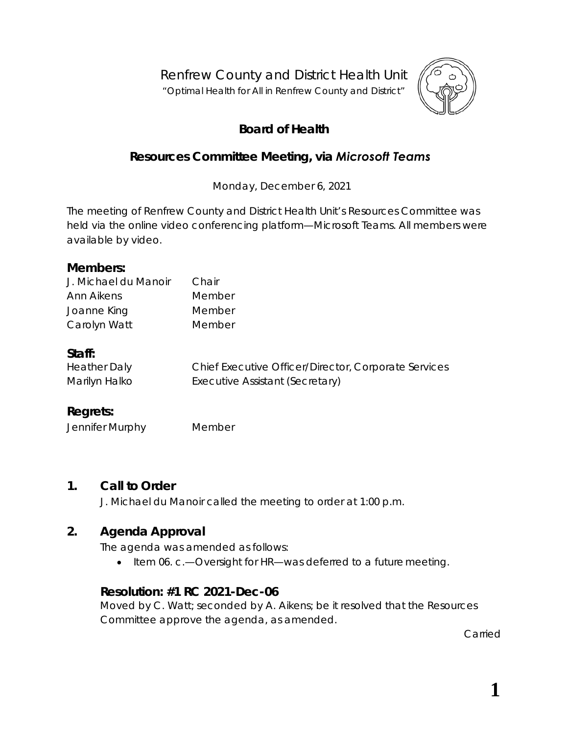Renfrew County and District Health Unit

"*Optimal Health for All in Renfrew County and District"*



# **Board of Health**

## **Resources Committee Meeting, via** *Microsoft Teams*

Monday, December 6, 2021

The meeting of Renfrew County and District Health Unit's Resources Committee was held via the online video conferencing platform—*Microsoft Teams*. All members were available by video.

#### **Members:**

| J. Michael du Manoir | Chair  |
|----------------------|--------|
| Ann Aikens           | Member |
| Joanne King          | Member |
| Carolyn Watt         | Member |

#### **Staff:**

| <b>Heather Daly</b> | Chief Executive Officer/Director, Corporate Services |
|---------------------|------------------------------------------------------|
| Marilyn Halko       | Executive Assistant (Secretary)                      |

### **Regrets:**

Jennifer Murphy Member

### **1. Call to Order**

J. Michael du Manoir called the meeting to order at 1:00 p.m.

## **2. Agenda Approval**

The agenda was amended as follows:

• Item 06. c.—Oversight for HR—was deferred to a future meeting.

### **Resolution: #1 RC 2021-Dec-06**

Moved by C. Watt; seconded by A. Aikens; be it resolved that the Resources Committee approve the agenda, as amended.

Carried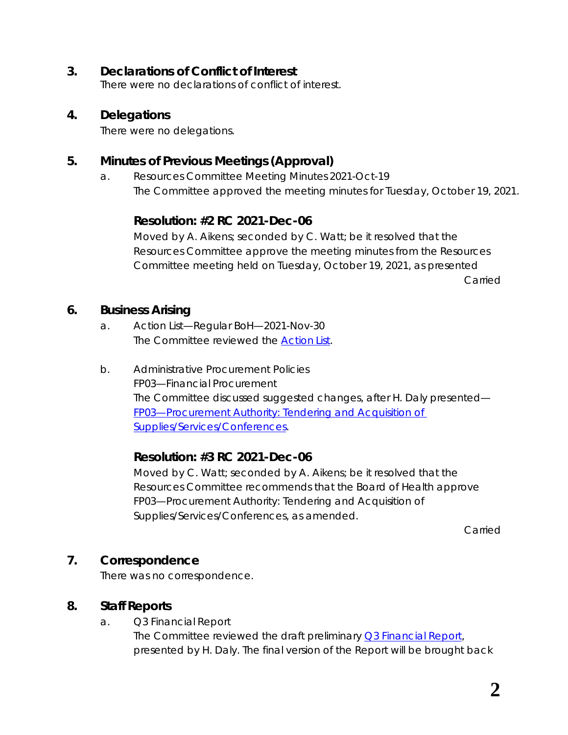#### **3. Declarations of Conflict of Interest**

There were no declarations of conflict of interest.

#### **4. Delegations**

There were no delegations.

### **5. Minutes of Previous Meetings (Approval)**

a. Resources Committee Meeting Minutes 2021-Oct-19 The Committee approved the meeting minutes for Tuesday, October 19, 2021.

### **Resolution: #2 RC 2021-Dec-06**

Moved by A. Aikens; seconded by C. Watt; be it resolved that the Resources Committee approve the meeting minutes from the Resources Committee meeting held on Tuesday, October 19, 2021, as presented Carried

#### **6. Business Arising**

- a. Action List—Regular BoH—2021-Nov-30 The Committee reviewed the **Action List**.
- b. Administrative Procurement Policies FP03—Financial Procurement The Committee discussed suggested changes, after H. Daly presented— *[FP03—Procurement Authority: Tendering](https://www.rcdhu.com/wp-content/uploads/2022/02/06.-b.-FP03-Financial-Procurement-posted.pdf) and Acquisition of [Supplies/Services/Conferences](https://www.rcdhu.com/wp-content/uploads/2022/02/06.-b.-FP03-Financial-Procurement-posted.pdf)*.

### **Resolution: #3 RC 2021-Dec-06**

Moved by C. Watt; seconded by A. Aikens; be it resolved that the Resources Committee recommends that the Board of Health approve FP03—Procurement Authority: Tendering and Acquisition of Supplies/Services/Conferences, as amended.

Carried

### **7. Correspondence**

There was no correspondence.

### **8. Staff Reports**

a. Q3 Financial Report The Committee reviewed the draft preliminary *[Q3 Financial Report,](https://www.rcdhu.com/wp-content/uploads/2022/02/08.-a.-Q3-Financial-Report.pdf)* presented by H. Daly. The final version of the Report will be brought back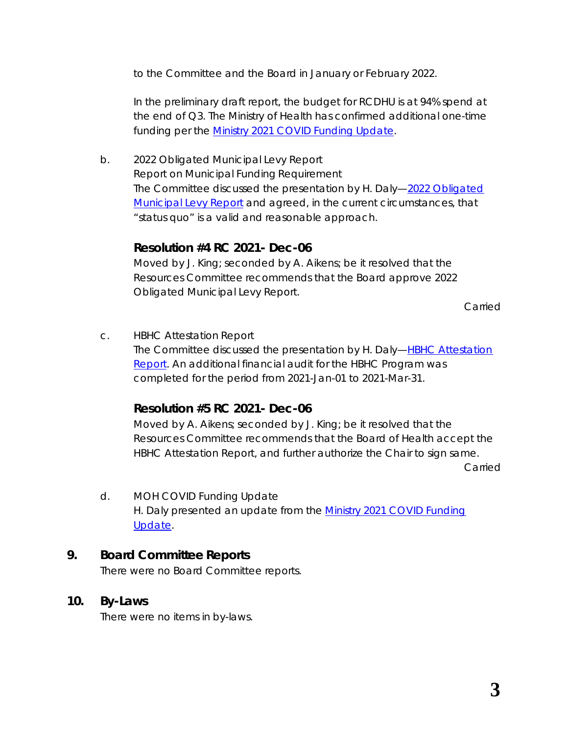to the Committee and the Board in January or February 2022.

In the preliminary draft report, the budget for RCDHU is at 94% spend at the end of Q3. The Ministry of Health has confirmed additional one-time funding per the *[Ministry 2021 COVID Funding Update](https://www.rcdhu.com/wp-content/uploads/2022/02/08.-d.-Ministry-2021-COVID-Funding-Update-with-attachments.pdf)*.

b. 2022 Obligated Municipal Levy Report Report on Municipal Funding Requirement The Committee discussed the presentation by H. Daly—*[2022 Obligated](https://www.rcdhu.com/wp-content/uploads/2022/02/08.-b.-2022-Obligated-Municipal-Funding-Report.pdf)  [Municipal Levy Report](https://www.rcdhu.com/wp-content/uploads/2022/02/08.-b.-2022-Obligated-Municipal-Funding-Report.pdf)* and agreed, in the current circumstances, that "status quo" is a valid and reasonable approach.

#### **Resolution #4 RC 2021- Dec-06**

Moved by J. King; seconded by A. Aikens; be it resolved that the Resources Committee recommends that the Board approve 2022 Obligated Municipal Levy Report.

Carried

c. HBHC Attestation Report The Committee discussed the presentation by H. Daly—*[HBHC Attestation](https://www.rcdhu.com/wp-content/uploads/2022/02/08.-c.-HBHC-Documents-for-Board-AMENDED.pdf)  [Report](https://www.rcdhu.com/wp-content/uploads/2022/02/08.-c.-HBHC-Documents-for-Board-AMENDED.pdf)*. An additional financial audit for the HBHC Program was completed for the period from 2021-Jan-01 to 2021-Mar-31.

### **Resolution #5 RC 2021- Dec-06**

Moved by A. Aikens; seconded by J. King; be it resolved that the Resources Committee recommends that the Board of Health accept the HBHC Attestation Report, and further authorize the Chair to sign same.

Carried

d. MOH COVID Funding Update H. Daly presented an update from the *[Ministry 2021 COVID Funding](https://www.rcdhu.com/wp-content/uploads/2022/02/08.-d.-Ministry-2021-COVID-Funding-Update-with-attachments.pdf)  [Update](https://www.rcdhu.com/wp-content/uploads/2022/02/08.-d.-Ministry-2021-COVID-Funding-Update-with-attachments.pdf)*.

### **9. Board Committee Reports**

There were no Board Committee reports.

### **10. By-Laws**

There were no items in by-laws.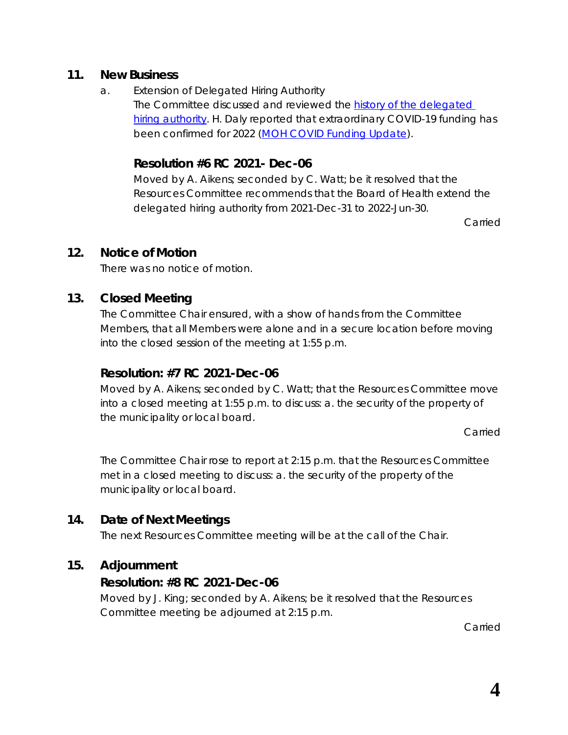#### **11. New Business**

a. Extension of Delegated Hiring Authority The Committee discussed and reviewed the *[history of the delegated](https://www.rcdhu.com/wp-content/uploads/2022/02/History-of-the-Delegated-Hiring-Authority.pdf)  [hiring authority](https://www.rcdhu.com/wp-content/uploads/2022/02/History-of-the-Delegated-Hiring-Authority.pdf)*. H. Daly reported that extraordinary COVID-19 funding has been confirmed for 2022 (*[MOH COVID Funding Update](https://www.rcdhu.com/wp-content/uploads/2022/02/08.-d.-Ministry-2021-COVID-Funding-Update-with-attachments.pdf)*).

#### **Resolution #6 RC 2021- Dec-06**

Moved by A. Aikens; seconded by C. Watt; be it resolved that the Resources Committee recommends that the Board of Health extend the delegated hiring authority from 2021-Dec-31 to 2022-Jun-30.

Carried

#### **12. Notice of Motion**

There was no notice of motion.

### **13. Closed Meeting**

The Committee Chair ensured, with a show of hands from the Committee Members, that all Members were alone and in a secure location before moving into the closed session of the meeting at 1:55 p.m.

#### **Resolution: #7 RC 2021-Dec-06**

Moved by A. Aikens; seconded by C. Watt; that the Resources Committee move into a closed meeting at 1:55 p.m. to discuss: a. the security of the property of the municipality or local board.

Carried

The Committee Chair rose to report at 2:15 p.m. that the Resources Committee met in a closed meeting to discuss: a. the security of the property of the municipality or local board.

### **14. Date of Next Meetings**

The next Resources Committee meeting will be at the call of the Chair.

### **15. Adjournment**

### **Resolution: #8 RC 2021-Dec-06**

Moved by J. King; seconded by A. Aikens; be it resolved that the Resources Committee meeting be adjourned at 2:15 p.m.

Carried